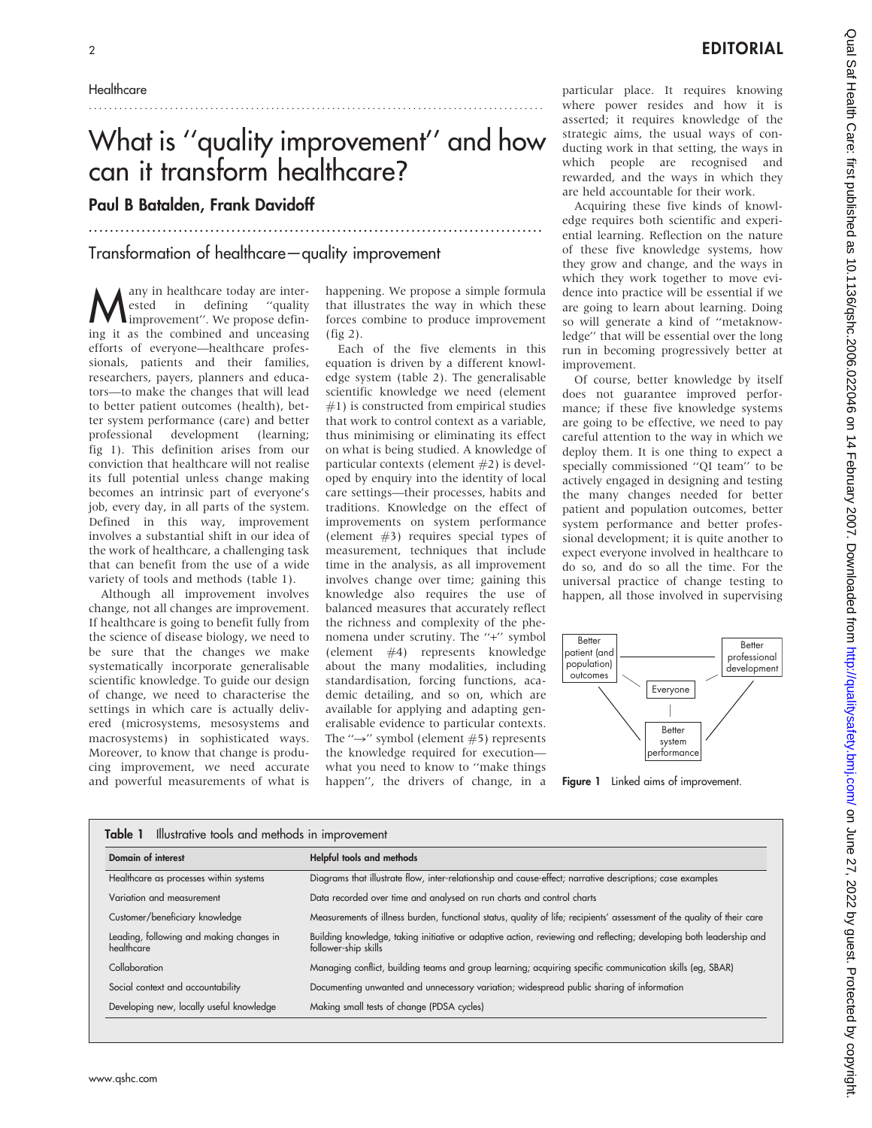### **Healthcare**

# What is ''quality improvement'' and how can it transform healthcare?

......................................................................................

## Paul B Batalden, Frank Davidoff

Transformation of healthcare—quality improvement

..........................................................................................

 $\bigwedge^{\text{any in healthcare today are inter-}}_{\text{improvement}'}$ . We propose definested in defining ''quality ing it as the combined and unceasing efforts of everyone—healthcare professionals, patients and their families, researchers, payers, planners and educators—to make the changes that will lead to better patient outcomes (health), better system performance (care) and better professional development (learning; fig 1). This definition arises from our conviction that healthcare will not realise its full potential unless change making becomes an intrinsic part of everyone's job, every day, in all parts of the system. Defined in this way, improvement involves a substantial shift in our idea of the work of healthcare, a challenging task that can benefit from the use of a wide variety of tools and methods (table 1).

Although all improvement involves change, not all changes are improvement. If healthcare is going to benefit fully from the science of disease biology, we need to be sure that the changes we make systematically incorporate generalisable scientific knowledge. To guide our design of change, we need to characterise the settings in which care is actually delivered (microsystems, mesosystems and macrosystems) in sophisticated ways. Moreover, to know that change is producing improvement, we need accurate and powerful measurements of what is happening. We propose a simple formula that illustrates the way in which these forces combine to produce improvement (fig 2).

Each of the five elements in this equation is driven by a different knowledge system (table 2). The generalisable scientific knowledge we need (element #1) is constructed from empirical studies that work to control context as a variable, thus minimising or eliminating its effect on what is being studied. A knowledge of particular contexts (element #2) is developed by enquiry into the identity of local care settings—their processes, habits and traditions. Knowledge on the effect of improvements on system performance (element #3) requires special types of measurement, techniques that include time in the analysis, as all improvement involves change over time; gaining this knowledge also requires the use of balanced measures that accurately reflect the richness and complexity of the phenomena under scrutiny. The "+" symbol (element #4) represents knowledge about the many modalities, including standardisation, forcing functions, academic detailing, and so on, which are available for applying and adapting generalisable evidence to particular contexts. The " $\rightarrow$ " symbol (element #5) represents the knowledge required for execution what you need to know to ''make things happen'', the drivers of change, in a

particular place. It requires knowing where power resides and how it is asserted; it requires knowledge of the strategic aims, the usual ways of conducting work in that setting, the ways in which people are recognised and rewarded, and the ways in which they are held accountable for their work.

Acquiring these five kinds of knowledge requires both scientific and experiential learning. Reflection on the nature of these five knowledge systems, how they grow and change, and the ways in which they work together to move evidence into practice will be essential if we are going to learn about learning. Doing so will generate a kind of ''metaknowledge'' that will be essential over the long run in becoming progressively better at improvement.

Of course, better knowledge by itself does not guarantee improved performance; if these five knowledge systems are going to be effective, we need to pay careful attention to the way in which we deploy them. It is one thing to expect a specially commissioned ''QI team'' to be actively engaged in designing and testing the many changes needed for better patient and population outcomes, better system performance and better professional development; it is quite another to expect everyone involved in healthcare to do so, and do so all the time. For the universal practice of change testing to happen, all those involved in supervising



Figure 1 Linked aims of improvement.

| Domain of interest                                     | Helpful tools and methods                                                                                                                  |  |  |  |
|--------------------------------------------------------|--------------------------------------------------------------------------------------------------------------------------------------------|--|--|--|
| Healthcare as processes within systems                 | Diagrams that illustrate flow, inter-relationship and cause-effect; narrative descriptions; case examples                                  |  |  |  |
| Variation and measurement                              | Data recorded over time and analysed on run charts and control charts                                                                      |  |  |  |
| Customer/beneficiary knowledge                         | Measurements of illness burden, functional status, quality of life; recipients' assessment of the quality of their care                    |  |  |  |
| Leading, following and making changes in<br>healthcare | Building knowledge, taking initiative or adaptive action, reviewing and reflecting; developing both leadership and<br>follower-ship skills |  |  |  |
| Collaboration                                          | Managing conflict, building teams and group learning; acquiring specific communication skills (eg, SBAR)                                   |  |  |  |
| Social context and accountability                      | Documenting unwanted and unnecessary variation; widespread public sharing of information                                                   |  |  |  |
| Developing new, locally useful knowledge               | Making small tests of change (PDSA cycles)                                                                                                 |  |  |  |